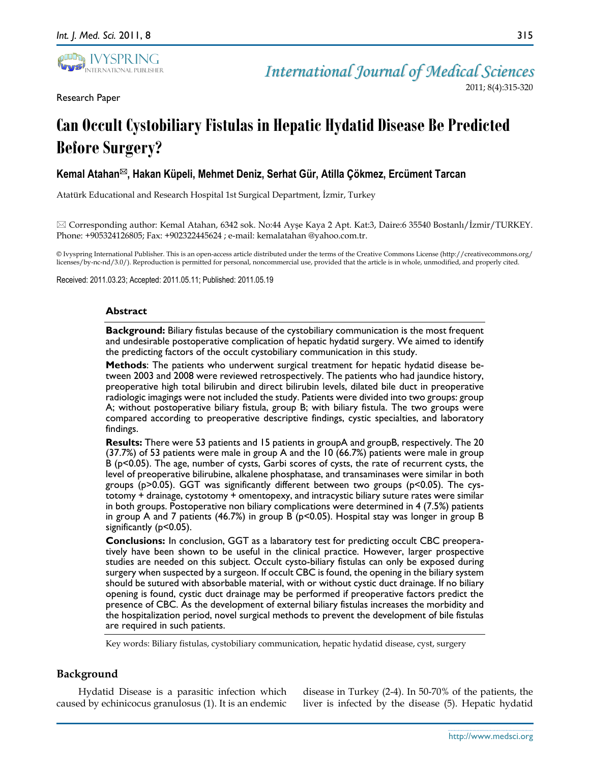

Research Paper

*International Journal of Medical Sciences*

2011; 8(4):315-320

# **Can Occult Cystobiliary Fistulas in Hepatic Hydatid Disease Be Predicted Before Surgery?**

**Kemal Atahan, Hakan Küpeli, Mehmet Deniz, Serhat Gür, Atilla Çökmez, Ercüment Tarcan**

Atatürk Educational and Research Hospital 1st Surgical Department, İzmir, Turkey

 Corresponding author: Kemal Atahan, 6342 sok. No:44 Ayşe Kaya 2 Apt. Kat:3, Daire:6 35540 Bostanlı/İzmir/TURKEY. Phone: +905324126805; Fax: +902322445624 ; e-mail: kemalatahan @yahoo.com.tr.

© Ivyspring International Publisher. This is an open-access article distributed under the terms of the Creative Commons License (http://creativecommons.org/ licenses/by-nc-nd/3.0/). Reproduction is permitted for personal, noncommercial use, provided that the article is in whole, unmodified, and properly cited.

Received: 2011.03.23; Accepted: 2011.05.11; Published: 2011.05.19

## **Abstract**

**Background:** Biliary fistulas because of the cystobiliary communication is the most frequent and undesirable postoperative complication of hepatic hydatid surgery. We aimed to identify the predicting factors of the occult cystobiliary communication in this study.

**Methods**: The patients who underwent surgical treatment for hepatic hydatid disease between 2003 and 2008 were reviewed retrospectively. The patients who had jaundice history, preoperative high total bilirubin and direct bilirubin levels, dilated bile duct in preoperative radiologic imagings were not included the study. Patients were divided into two groups: group A; without postoperative biliary fistula, group B; with biliary fistula. The two groups were compared according to preoperative descriptive findings, cystic specialties, and laboratory findings.

**Results:** There were 53 patients and 15 patients in groupA and groupB, respectively. The 20 (37.7%) of 53 patients were male in group A and the 10 (66.7%) patients were male in group B (p<0.05). The age, number of cysts, Garbi scores of cysts, the rate of recurrent cysts, the level of preoperative bilirubine, alkalene phosphatase, and transaminases were similar in both groups (p>0.05). GGT was significantly different between two groups (p<0.05). The cystotomy + drainage, cystotomy + omentopexy, and intracystic biliary suture rates were similar in both groups. Postoperative non biliary complications were determined in 4 (7.5%) patients in group A and 7 patients (46.7%) in group B ( $p<0.05$ ). Hospital stay was longer in group B significantly (p<0.05).

**Conclusions:** In conclusion, GGT as a labaratory test for predicting occult CBC preoperatively have been shown to be useful in the clinical practice. However, larger prospective studies are needed on this subject. Occult cysto-biliary fistulas can only be exposed during surgery when suspected by a surgeon. If occult CBC is found, the opening in the biliary system should be sutured with absorbable material, with or without cystic duct drainage. If no biliary opening is found, cystic duct drainage may be performed if preoperative factors predict the presence of CBC. As the development of external biliary fistulas increases the morbidity and the hospitalization period, novel surgical methods to prevent the development of bile fistulas are required in such patients.

Key words: Biliary fistulas, cystobiliary communication, hepatic hydatid disease, cyst, surgery

# **Background**

Hydatid Disease is a parasitic infection which caused by echinicocus granulosus (1). It is an endemic

disease in Turkey (2-4). In 50-70% of the patients, the liver is infected by the disease (5). Hepatic hydatid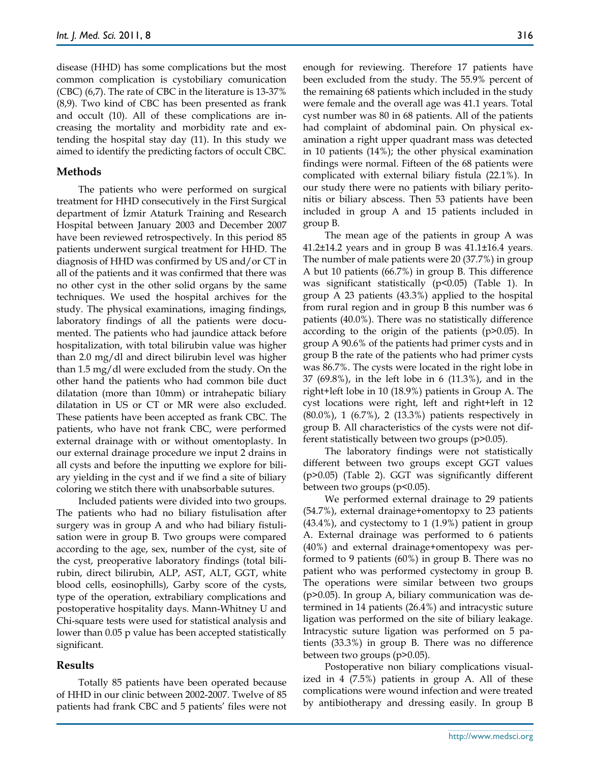disease (HHD) has some complications but the most common complication is cystobiliary comunication (CBC) (6,7). The rate of CBC in the literature is 13-37% (8,9). Two kind of CBC has been presented as frank and occult (10). All of these complications are increasing the mortality and morbidity rate and extending the hospital stay day (11). In this study we aimed to identify the predicting factors of occult CBC.

## **Methods**

The patients who were performed on surgical treatment for HHD consecutively in the First Surgical department of İzmir Ataturk Training and Research Hospital between January 2003 and December 2007 have been reviewed retrospectively. In this period 85 patients underwent surgical treatment for HHD. The diagnosis of HHD was confirmed by US and/or CT in all of the patients and it was confirmed that there was no other cyst in the other solid organs by the same techniques. We used the hospital archives for the study. The physical examinations, imaging findings, laboratory findings of all the patients were documented. The patients who had jaundice attack before hospitalization, with total bilirubin value was higher than 2.0 mg/dl and direct bilirubin level was higher than 1.5 mg/dl were excluded from the study. On the other hand the patients who had common bile duct dilatation (more than 10mm) or intrahepatic biliary dilatation in US or CT or MR were also excluded. These patients have been accepted as frank CBC. The patients, who have not frank CBC, were performed external drainage with or without omentoplasty. In our external drainage procedure we input 2 drains in all cysts and before the inputting we explore for biliary yielding in the cyst and if we find a site of biliary coloring we stitch there with unabsorbable sutures.

Included patients were divided into two groups. The patients who had no biliary fistulisation after surgery was in group A and who had biliary fistulisation were in group B. Two groups were compared according to the age, sex, number of the cyst, site of the cyst, preoperative laboratory findings (total bilirubin, direct bilirubin, ALP, AST, ALT, GGT, white blood cells, eosinophills), Garby score of the cysts, type of the operation, extrabiliary complications and postoperative hospitality days. Mann-Whitney U and Chi-square tests were used for statistical analysis and lower than 0.05 p value has been accepted statistically significant.

## **Results**

Totally 85 patients have been operated because of HHD in our clinic between 2002-2007. Twelve of 85 patients had frank CBC and 5 patients' files were not enough for reviewing. Therefore 17 patients have been excluded from the study. The 55.9% percent of the remaining 68 patients which included in the study were female and the overall age was 41.1 years. Total cyst number was 80 in 68 patients. All of the patients had complaint of abdominal pain. On physical examination a right upper quadrant mass was detected in 10 patients (14%); the other physical examination findings were normal. Fifteen of the 68 patients were complicated with external biliary fistula (22.1%). In our study there were no patients with biliary peritonitis or biliary abscess. Then 53 patients have been included in group A and 15 patients included in group B.

The mean age of the patients in group A was  $41.2\pm14.2$  years and in group B was  $41.1\pm16.4$  years. The number of male patients were 20 (37.7%) in group A but 10 patients (66.7%) in group B. This difference was significant statistically (p<0.05) (Table 1). In group A 23 patients (43.3%) applied to the hospital from rural region and in group B this number was 6 patients (40.0%). There was no statistically difference according to the origin of the patients (p>0.05). In group A 90.6% of the patients had primer cysts and in group B the rate of the patients who had primer cysts was 86.7%. The cysts were located in the right lobe in 37 (69.8%), in the left lobe in 6 (11.3%), and in the right+left lobe in 10 (18.9%) patients in Group A. The cyst locations were right, left and right+left in 12 (80.0%), 1 (6.7%), 2 (13.3%) patients respectively in group B. All characteristics of the cysts were not different statistically between two groups (p>0.05).

The laboratory findings were not statistically different between two groups except GGT values (p>0.05) (Table 2). GGT was significantly different between two groups (p<0.05).

We performed external drainage to 29 patients (54.7%), external drainage+omentopxy to 23 patients (43.4%), and cystectomy to 1 (1.9%) patient in group A. External drainage was performed to 6 patients (40%) and external drainage+omentopexy was performed to 9 patients (60%) in group B. There was no patient who was performed cystectomy in group B. The operations were similar between two groups (p>0.05). In group A, biliary communication was determined in 14 patients (26.4%) and intracystic suture ligation was performed on the site of biliary leakage. Intracystic suture ligation was performed on 5 patients (33.3%) in group B. There was no difference between two groups (p>0.05).

Postoperative non biliary complications visualized in 4 (7.5%) patients in group A. All of these complications were wound infection and were treated by antibiotherapy and dressing easily. In group B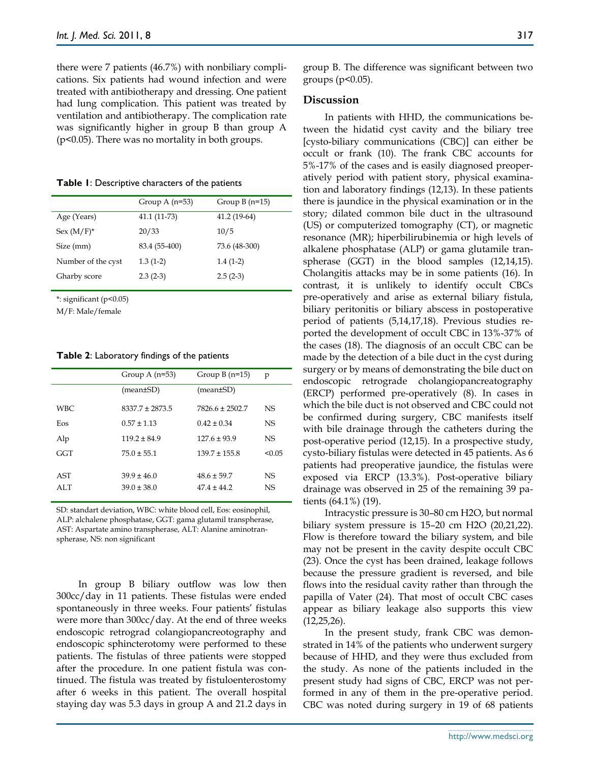there were 7 patients (46.7%) with nonbiliary complications. Six patients had wound infection and were treated with antibiotherapy and dressing. One patient had lung complication. This patient was treated by ventilation and antibiotherapy. The complication rate was significantly higher in group B than group A (p<0.05). There was no mortality in both groups.

**Table 1**: Descriptive characters of the patients

|                    | Group A $(n=53)$ | Group $B(n=15)$ |
|--------------------|------------------|-----------------|
| Age (Years)        | 41.1 (11-73)     | $41.2(19-64)$   |
| $Sex (M/F)^*$      | 20/33            | 10/5            |
| Size (mm)          | 83.4 (55-400)    | 73.6 (48-300)   |
| Number of the cyst | $1.3(1-2)$       | $1.4(1-2)$      |
| Gharby score       | $2.3(2-3)$       | $2.5(2-3)$      |
|                    |                  |                 |

\*: significant (p<0.05)

M/F: Male/female

**Table 2**: Laboratory findings of the patients

|      | Group A $(n=53)$    | Group $B(n=15)$     | p      |
|------|---------------------|---------------------|--------|
|      | (mean±SD)           | (mean±SD)           |        |
| WBC. | $8337.7 \pm 2873.5$ | $7826.6 \pm 2502.7$ | NS.    |
| Eos  | $0.57 \pm 1.13$     | $0.42 \pm 0.34$     | NS.    |
| Alp  | $119.2 \pm 84.9$    | $1276 + 939$        | NS.    |
| GGT  | $75.0 \pm 55.1$     | $139.7 \pm 155.8$   | < 0.05 |
| AST  | $39.9 \pm 46.0$     | $48.6 \pm 59.7$     | NS.    |
| ALT  | $39.0 \pm 38.0$     | $47.4 \pm 44.2$     | NS.    |
|      |                     |                     |        |

SD: standart deviation, WBC: white blood cell, Eos: eosinophil, ALP: alchalene phosphatase, GGT: gama glutamil transpherase, AST: Aspartate amino transpherase, ALT: Alanine aminotranspherase, NS: non significant

In group B biliary outflow was low then 300cc/day in 11 patients. These fistulas were ended spontaneously in three weeks. Four patients' fistulas were more than 300cc/day. At the end of three weeks endoscopic retrograd colangiopancreotography and endoscopic sphincterotomy were performed to these patients. The fistulas of three patients were stopped after the procedure. In one patient fistula was continued. The fistula was treated by fistuloenterostomy after 6 weeks in this patient. The overall hospital staying day was 5.3 days in group A and 21.2 days in

group B. The difference was significant between two groups (p<0.05).

#### **Discussion**

In patients with HHD, the communications between the hidatid cyst cavity and the biliary tree [cysto-biliary communications (CBC)] can either be occult or frank (10). The frank CBC accounts for 5%-17% of the cases and is easily diagnosed preoperatively period with patient story, physical examination and laboratory findings (12,13). In these patients there is jaundice in the physical examination or in the story; dilated common bile duct in the ultrasound (US) or computerized tomography (CT), or magnetic resonance (MR); hiperbilirubinemia or high levels of alkalene phosphatase (ALP) or gama glutamile transpherase (GGT) in the blood samples (12,14,15). Cholangitis attacks may be in some patients (16). In contrast, it is unlikely to identify occult CBCs pre-operatively and arise as external biliary fistula, biliary peritonitis or biliary abscess in postoperative period of patients (5,14,17,18). Previous studies reported the development of occult CBC in 13%-37% of the cases (18). The diagnosis of an occult CBC can be made by the detection of a bile duct in the cyst during surgery or by means of demonstrating the bile duct on endoscopic retrograde cholangiopancreatography (ERCP) performed pre-operatively (8). In cases in which the bile duct is not observed and CBC could not be confirmed during surgery, CBC manifests itself with bile drainage through the catheters during the post-operative period (12,15). In a prospective study, cysto-biliary fistulas were detected in 45 patients. As 6 patients had preoperative jaundice, the fistulas were exposed via ERCP (13.3%). Post-operative biliary drainage was observed in 25 of the remaining 39 patients (64.1%) (19).

Intracystic pressure is 30–80 cm H2O, but normal biliary system pressure is 15–20 cm H2O (20,21,22). Flow is therefore toward the biliary system, and bile may not be present in the cavity despite occult CBC (23). Once the cyst has been drained, leakage follows because the pressure gradient is reversed, and bile flows into the residual cavity rather than through the papilla of Vater (24). That most of occult CBC cases appear as biliary leakage also supports this view  $(12,25,26)$ .

In the present study, frank CBC was demonstrated in 14% of the patients who underwent surgery because of HHD, and they were thus excluded from the study. As none of the patients included in the present study had signs of CBC, ERCP was not performed in any of them in the pre-operative period. CBC was noted during surgery in 19 of 68 patients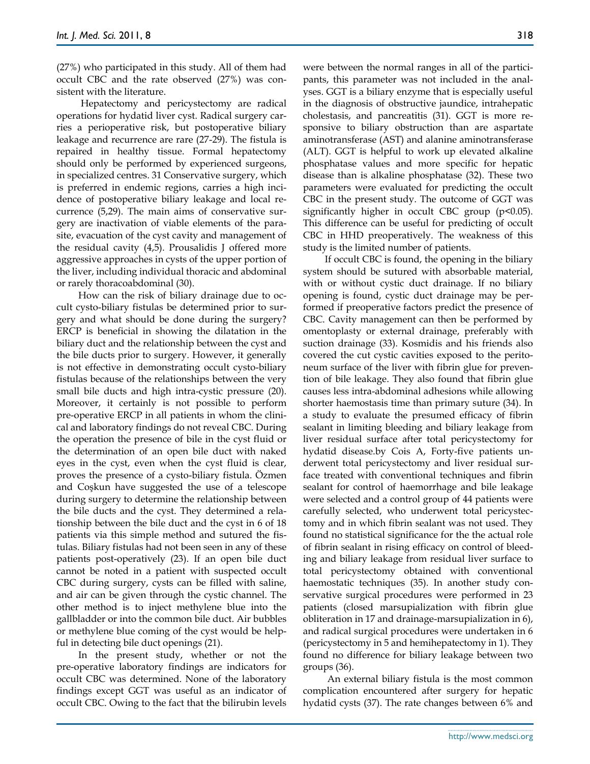(27%) who participated in this study. All of them had occult CBC and the rate observed (27%) was consistent with the literature.

Hepatectomy and pericystectomy are radical operations for hydatid liver cyst. Radical surgery carries a perioperative risk, but postoperative biliary leakage and recurrence are rare (27-29). The fistula is repaired in healthy tissue. Formal hepatectomy should only be performed by experienced surgeons, in specialized centres. 31 Conservative surgery, which is preferred in endemic regions, carries a high incidence of postoperative biliary leakage and local recurrence (5,29). The main aims of conservative surgery are inactivation of viable elements of the parasite, evacuation of the cyst cavity and management of the residual cavity (4,5). Prousalidis J offered more aggressive approaches in cysts of the upper portion of the liver, including individual thoracic and abdominal or rarely thoracoabdominal (30).

How can the risk of biliary drainage due to occult cysto-biliary fistulas be determined prior to surgery and what should be done during the surgery? ERCP is beneficial in showing the dilatation in the biliary duct and the relationship between the cyst and the bile ducts prior to surgery. However, it generally is not effective in demonstrating occult cysto-biliary fistulas because of the relationships between the very small bile ducts and high intra-cystic pressure (20). Moreover, it certainly is not possible to perform pre-operative ERCP in all patients in whom the clinical and laboratory findings do not reveal CBC. During the operation the presence of bile in the cyst fluid or the determination of an open bile duct with naked eyes in the cyst, even when the cyst fluid is clear, proves the presence of a cysto-biliary fistula. Özmen and Coşkun have suggested the use of a telescope during surgery to determine the relationship between the bile ducts and the cyst. They determined a relationship between the bile duct and the cyst in 6 of 18 patients via this simple method and sutured the fistulas. Biliary fistulas had not been seen in any of these patients post-operatively (23). If an open bile duct cannot be noted in a patient with suspected occult CBC during surgery, cysts can be filled with saline, and air can be given through the cystic channel. The other method is to inject methylene blue into the gallbladder or into the common bile duct. Air bubbles or methylene blue coming of the cyst would be helpful in detecting bile duct openings (21).

In the present study, whether or not the pre-operative laboratory findings are indicators for occult CBC was determined. None of the laboratory findings except GGT was useful as an indicator of occult CBC. Owing to the fact that the bilirubin levels were between the normal ranges in all of the participants, this parameter was not included in the analyses. GGT is a biliary enzyme that is especially useful in the diagnosis of obstructive jaundice, intrahepatic cholestasis, and pancreatitis (31). GGT is more responsive to biliary obstruction than are aspartate aminotransferase (AST) and alanine aminotransferase (ALT). GGT is helpful to work up elevated alkaline phosphatase values and more specific for hepatic disease than is alkaline phosphatase (32). These two parameters were evaluated for predicting the occult CBC in the present study. The outcome of GGT was significantly higher in occult CBC group  $(p<0.05)$ . This difference can be useful for predicting of occult CBC in HHD preoperatively. The weakness of this study is the limited number of patients.

If occult CBC is found, the opening in the biliary system should be sutured with absorbable material, with or without cystic duct drainage. If no biliary opening is found, cystic duct drainage may be performed if preoperative factors predict the presence of CBC. Cavity management can then be performed by omentoplasty or external drainage, preferably with suction drainage (33). Kosmidis and his friends also covered the cut cystic cavities exposed to the peritoneum surface of the liver with fibrin glue for prevention of bile leakage. They also found that fibrin glue causes less intra-abdominal adhesions while allowing shorter haemostasis time than primary suture (34). In a study to evaluate the presumed efficacy of fibrin sealant in limiting bleeding and biliary leakage from liver residual surface after total pericystectomy for hydatid disease.by Cois A, Forty-five patients underwent total pericystectomy and liver residual surface treated with conventional techniques and fibrin sealant for control of haemorrhage and bile leakage were selected and a control group of 44 patients were carefully selected, who underwent total pericystectomy and in which fibrin sealant was not used. They found no statistical significance for the the actual role of fibrin sealant in rising efficacy on control of bleeding and biliary leakage from residual liver surface to total pericystectomy obtained with conventional haemostatic techniques (35). In another study conservative surgical procedures were performed in 23 patients (closed marsupialization with fibrin glue obliteration in 17 and drainage-marsupialization in 6), and radical surgical procedures were undertaken in 6 (pericystectomy in 5 and hemihepatectomy in 1). They found no difference for biliary leakage between two groups (36).

An external biliary fistula is the most common complication encountered after surgery for hepatic hydatid cysts (37). The rate changes between 6% and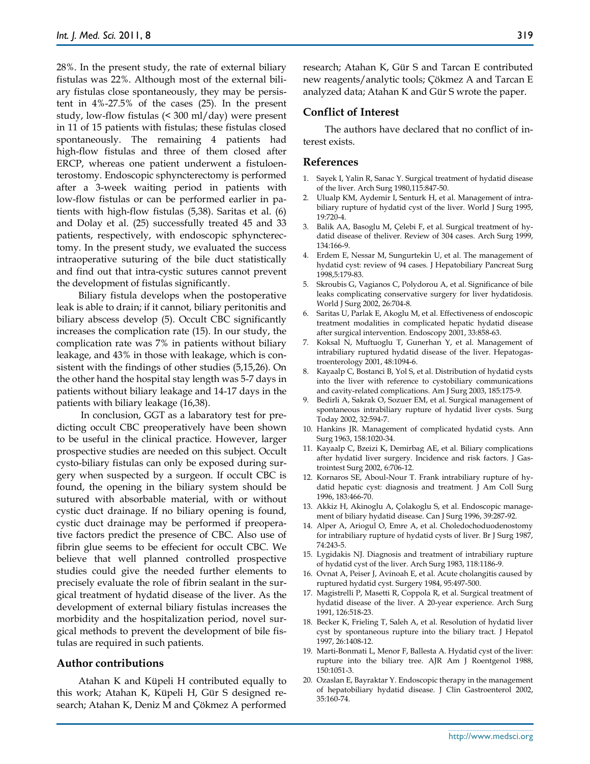28%. In the present study, the rate of external biliary fistulas was 22%. Although most of the external biliary fistulas close spontaneously, they may be persistent in 4%-27.5% of the cases (25). In the present study, low-flow fistulas (< 300 ml/day) were present in 11 of 15 patients with fistulas; these fistulas closed spontaneously. The remaining 4 patients had high-flow fistulas and three of them closed after ERCP, whereas one patient underwent a fistuloenterostomy. Endoscopic sphyncterectomy is performed after a 3-week waiting period in patients with low-flow fistulas or can be performed earlier in patients with high-flow fistulas (5,38). Saritas et al. (6) and Dolay et al. (25) successfully treated 45 and 33 patients, respectively, with endoscopic sphyncterectomy. In the present study, we evaluated the success intraoperative suturing of the bile duct statistically and find out that intra-cystic sutures cannot prevent the development of fistulas significantly.

Biliary fistula develops when the postoperative leak is able to drain; if it cannot, biliary peritonitis and biliary abscess develop (5). Occult CBC significantly increases the complication rate (15). In our study, the complication rate was 7% in patients without biliary leakage, and 43% in those with leakage, which is consistent with the findings of other studies (5,15,26). On the other hand the hospital stay length was 5-7 days in patients without biliary leakage and 14-17 days in the patients with biliary leakage (16,38).

In conclusion, GGT as a labaratory test for predicting occult CBC preoperatively have been shown to be useful in the clinical practice. However, larger prospective studies are needed on this subject. Occult cysto-biliary fistulas can only be exposed during surgery when suspected by a surgeon. If occult CBC is found, the opening in the biliary system should be sutured with absorbable material, with or without cystic duct drainage. If no biliary opening is found, cystic duct drainage may be performed if preoperative factors predict the presence of CBC. Also use of fibrin glue seems to be effecient for occult CBC. We believe that well planned controlled prospective studies could give the needed further elements to precisely evaluate the role of fibrin sealant in the surgical treatment of hydatid disease of the liver. As the development of external biliary fistulas increases the morbidity and the hospitalization period, novel surgical methods to prevent the development of bile fistulas are required in such patients.

#### **Author contributions**

Atahan K and Küpeli H contributed equally to this work; Atahan K, Küpeli H, Gür S designed research; Atahan K, Deniz M and Çökmez A performed research; Atahan K, Gür S and Tarcan E contributed new reagents/analytic tools; Çökmez A and Tarcan E analyzed data; Atahan K and Gür S wrote the paper.

## **Conflict of Interest**

The authors have declared that no conflict of interest exists.

#### **References**

- 1. Sayek I, Yalin R, Sanac Y. Surgical treatment of hydatid disease of the liver. Arch Surg 1980,115:847-50.
- 2. Ulualp KM, Aydemir I, Senturk H, et al. Management of intrabiliary rupture of hydatid cyst of the liver. World J Surg 1995, 19:720-4.
- 3. Balik AA, Basoglu M, Çelebi F, et al. Surgical treatment of hydatid disease of theliver. Review of 304 cases. Arch Surg 1999, 134:166-9.
- 4. Erdem E, Nessar M, Sungurtekin U, et al. The management of hydatid cyst: review of 94 cases. J Hepatobiliary Pancreat Surg 1998,5:179-83.
- 5. Skroubis G, Vagianos C, Polydorou A, et al. Significance of bile leaks complicating conservative surgery for liver hydatidosis. World J Surg 2002, 26:704-8.
- 6. Saritas U, Parlak E, Akoglu M, et al. Effectiveness of endoscopic treatment modalities in complicated hepatic hydatid disease after surgical intervention. Endoscopy 2001, 33:858-63.
- 7. Koksal N, Muftuoglu T, Gunerhan Y, et al. Management of intrabiliary ruptured hydatid disease of the liver. Hepatogastroenterology 2001, 48:1094-6.
- 8. Kayaalp C, Bostanci B, Yol S, et al. Distribution of hydatid cysts into the liver with reference to cystobiliary communications and cavity-related complications. Am J Surg 2003, 185:175-9.
- 9. Bedirli A, Sakrak O, Sozuer EM, et al. Surgical management of spontaneous intrabiliary rupture of hydatid liver cysts. Surg Today 2002, 32:594-7.
- 10. Hankins JR. Management of complicated hydatid cysts. Ann Surg 1963, 158:1020-34.
- 11. Kayaalp C, Bzeizi K, Demirbag AE, et al. Biliary complications after hydatid liver surgery. Incidence and risk factors. J Gastrointest Surg 2002, 6:706-12.
- 12. Kornaros SE, Aboul-Nour T. Frank intrabiliary rupture of hydatid hepatic cyst: diagnosis and treatment. J Am Coll Surg 1996, 183:466-70.
- 13. Akkiz H, Akinoglu A, Çolakoglu S, et al. Endoscopic management of biliary hydatid disease. Can J Surg 1996, 39:287-92.
- 14. Alper A, Ariogul O, Emre A, et al. Choledochoduodenostomy for intrabiliary rupture of hydatid cysts of liver. Br J Surg 1987, 74:243-5.
- 15. Lygidakis NJ. Diagnosis and treatment of intrabiliary rupture of hydatid cyst of the liver. Arch Surg 1983, 118:1186-9.
- 16. Ovnat A, Peiser J, Avinoah E, et al. Acute cholangitis caused by ruptured hydatid cyst. Surgery 1984, 95:497-500.
- 17. Magistrelli P, Masetti R, Coppola R, et al. Surgical treatment of hydatid disease of the liver. A 20-year experience. Arch Surg 1991, 126:518-23.
- 18. Becker K, Frieling T, Saleh A, et al. Resolution of hydatid liver cyst by spontaneous rupture into the biliary tract. J Hepatol 1997, 26:1408-12.
- 19. Marti-Bonmati L, Menor F, Ballesta A. Hydatid cyst of the liver: rupture into the biliary tree. AJR Am J Roentgenol 1988, 150:1051-3.
- 20. Ozaslan E, Bayraktar Y. Endoscopic therapy in the management of hepatobiliary hydatid disease. J Clin Gastroenterol 2002, 35:160-74.